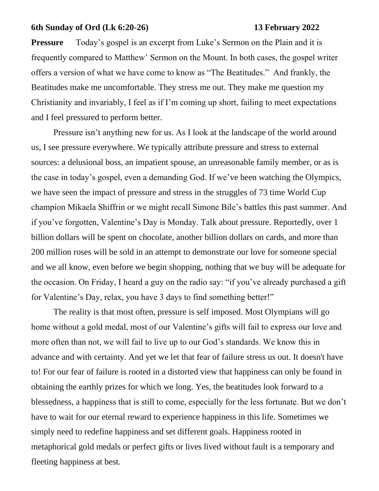## **6th Sunday of Ord (Lk 6:20-26) 13 February 2022**

**Pressure** Today's gospel is an excerpt from Luke's Sermon on the Plain and it is frequently compared to Matthew' Sermon on the Mount. In both cases, the gospel writer offers a version of what we have come to know as "The Beatitudes." And frankly, the Beatitudes make me uncomfortable. They stress me out. They make me question my Christianity and invariably, I feel as if I'm coming up short, failing to meet expectations and I feel pressured to perform better.

Pressure isn't anything new for us. As I look at the landscape of the world around us, I see pressure everywhere. We typically attribute pressure and stress to external sources: a delusional boss, an impatient spouse, an unreasonable family member, or as is the case in today's gospel, even a demanding God. If we've been watching the Olympics, we have seen the impact of pressure and stress in the struggles of 73 time World Cup champion Mikaela Shiffrin or we might recall Simone Bile's battles this past summer. And if you've forgotten, Valentine's Day is Monday. Talk about pressure. Reportedly, over 1 billion dollars will be spent on chocolate, another billion dollars on cards, and more than 200 million roses will be sold in an attempt to demonstrate our love for someone special and we all know, even before we begin shopping, nothing that we buy will be adequate for the occasion. On Friday, I heard a guy on the radio say: "if you've already purchased a gift for Valentine's Day, relax, you have 3 days to find something better!"

The reality is that most often, pressure is self imposed. Most Olympians will go home without a gold medal, most of our Valentine's gifts will fail to express our love and more often than not, we will fail to live up to our God's standards. We know this in advance and with certainty. And yet we let that fear of failure stress us out. It doesn't have to! For our fear of failure is rooted in a distorted view that happiness can only be found in obtaining the earthly prizes for which we long. Yes, the beatitudes look forward to a blessedness, a happiness that is still to come, especially for the less fortunate. But we don't have to wait for our eternal reward to experience happiness in this life. Sometimes we simply need to redefine happiness and set different goals. Happiness rooted in metaphorical gold medals or perfect gifts or lives lived without fault is a temporary and fleeting happiness at best.